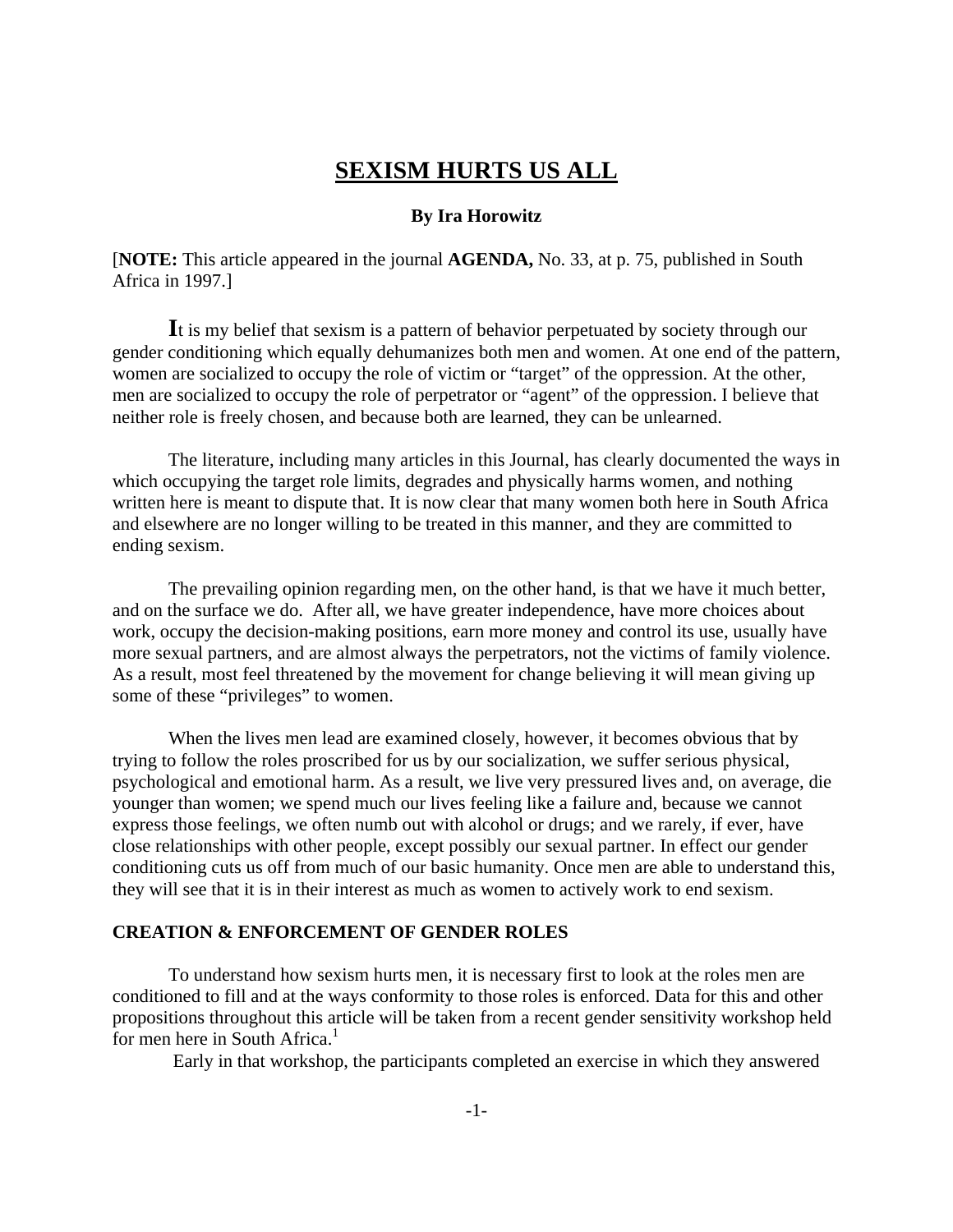# **SEXISM HURTS US ALL**

### **By Ira Horowitz**

[**NOTE:** This article appeared in the journal **AGENDA,** No. 33, at p. 75, published in South Africa in 1997.]

**I**t is my belief that sexism is a pattern of behavior perpetuated by society through our gender conditioning which equally dehumanizes both men and women. At one end of the pattern, women are socialized to occupy the role of victim or "target" of the oppression. At the other, men are socialized to occupy the role of perpetrator or "agent" of the oppression. I believe that neither role is freely chosen, and because both are learned, they can be unlearned.

The literature, including many articles in this Journal, has clearly documented the ways in which occupying the target role limits, degrades and physically harms women, and nothing written here is meant to dispute that. It is now clear that many women both here in South Africa and elsewhere are no longer willing to be treated in this manner, and they are committed to ending sexism.

The prevailing opinion regarding men, on the other hand, is that we have it much better, and on the surface we do. After all, we have greater independence, have more choices about work, occupy the decision-making positions, earn more money and control its use, usually have more sexual partners, and are almost always the perpetrators, not the victims of family violence. As a result, most feel threatened by the movement for change believing it will mean giving up some of these "privileges" to women.

When the lives men lead are examined closely, however, it becomes obvious that by trying to follow the roles proscribed for us by our socialization, we suffer serious physical, psychological and emotional harm. As a result, we live very pressured lives and, on average, die younger than women; we spend much our lives feeling like a failure and, because we cannot express those feelings, we often numb out with alcohol or drugs; and we rarely, if ever, have close relationships with other people, except possibly our sexual partner. In effect our gender conditioning cuts us off from much of our basic humanity. Once men are able to understand this, they will see that it is in their interest as much as women to actively work to end sexism.

### **CREATION & ENFORCEMENT OF GENDER ROLES**

To understand how sexism hurts men, it is necessary first to look at the roles men are conditioned to fill and at the ways conformity to those roles is enforced. Data for this and other propositions throughout this article will be taken from a recent gender sensitivity workshop held for men here in South Africa.<sup>1</sup>

Early in that workshop, the participants completed an exercise in which they answered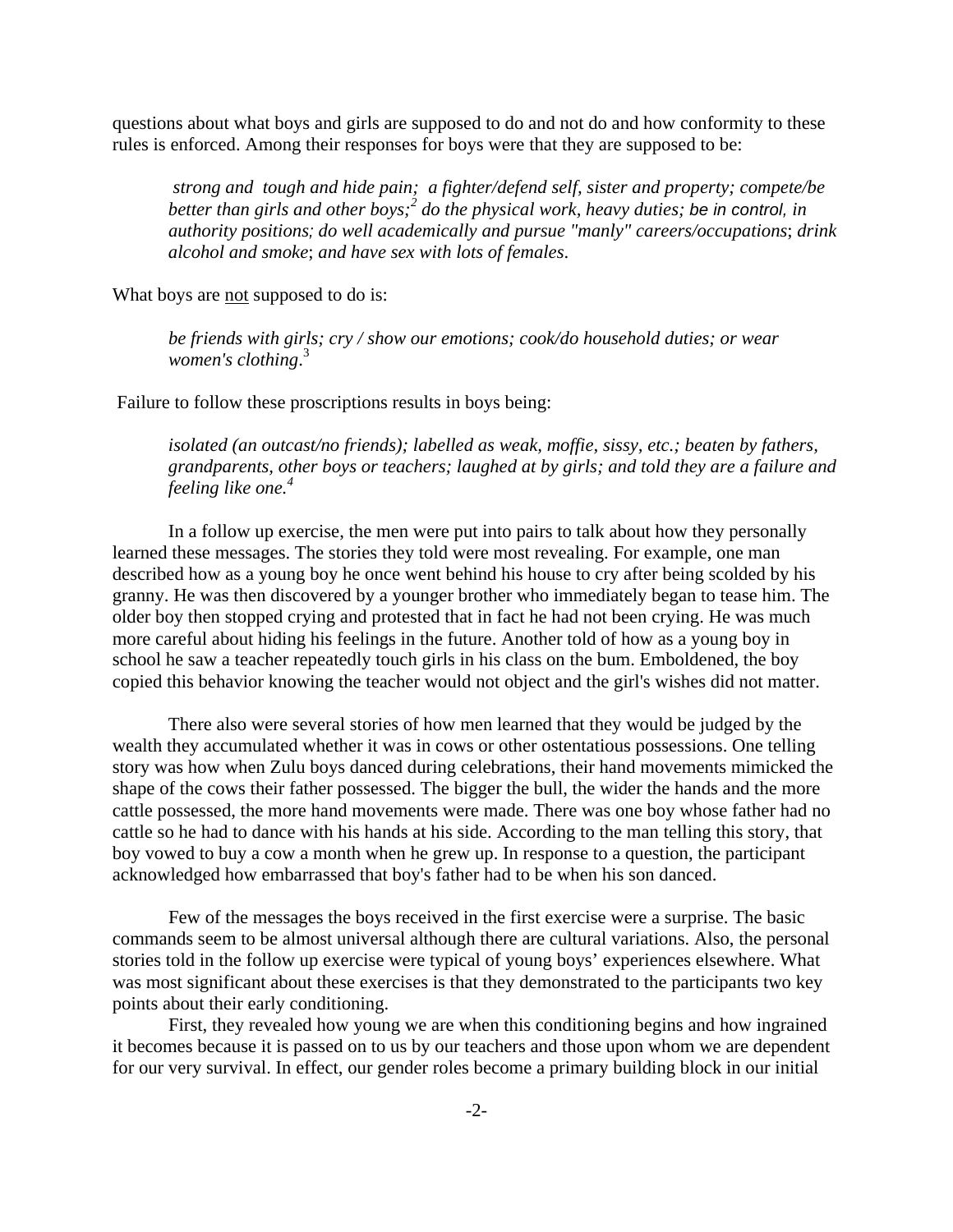questions about what boys and girls are supposed to do and not do and how conformity to these rules is enforced. Among their responses for boys were that they are supposed to be:

*strong and tough and hide pain; a fighter/defend self, sister and property; compete/be better than girls and other boys;<sup>2</sup> do the physical work, heavy duties; be in control, in authority positions; do well academically and pursue "manly" careers/occupations*; *drink alcohol and smoke*; *and have sex with lots of females*.

What boys are not supposed to do is:

*be friends with girls; cry / show our emotions; cook/do household duties; or wear women's clothing*. 3

Failure to follow these proscriptions results in boys being:

*isolated (an outcast/no friends); labelled as weak, moffie, sissy, etc.; beaten by fathers, grandparents, other boys or teachers; laughed at by girls; and told they are a failure and feeling like one.<sup>4</sup>*

In a follow up exercise, the men were put into pairs to talk about how they personally learned these messages. The stories they told were most revealing. For example, one man described how as a young boy he once went behind his house to cry after being scolded by his granny. He was then discovered by a younger brother who immediately began to tease him. The older boy then stopped crying and protested that in fact he had not been crying. He was much more careful about hiding his feelings in the future. Another told of how as a young boy in school he saw a teacher repeatedly touch girls in his class on the bum. Emboldened, the boy copied this behavior knowing the teacher would not object and the girl's wishes did not matter.

There also were several stories of how men learned that they would be judged by the wealth they accumulated whether it was in cows or other ostentatious possessions. One telling story was how when Zulu boys danced during celebrations, their hand movements mimicked the shape of the cows their father possessed. The bigger the bull, the wider the hands and the more cattle possessed, the more hand movements were made. There was one boy whose father had no cattle so he had to dance with his hands at his side. According to the man telling this story, that boy vowed to buy a cow a month when he grew up. In response to a question, the participant acknowledged how embarrassed that boy's father had to be when his son danced.

Few of the messages the boys received in the first exercise were a surprise. The basic commands seem to be almost universal although there are cultural variations. Also, the personal stories told in the follow up exercise were typical of young boys' experiences elsewhere. What was most significant about these exercises is that they demonstrated to the participants two key points about their early conditioning.

First, they revealed how young we are when this conditioning begins and how ingrained it becomes because it is passed on to us by our teachers and those upon whom we are dependent for our very survival. In effect, our gender roles become a primary building block in our initial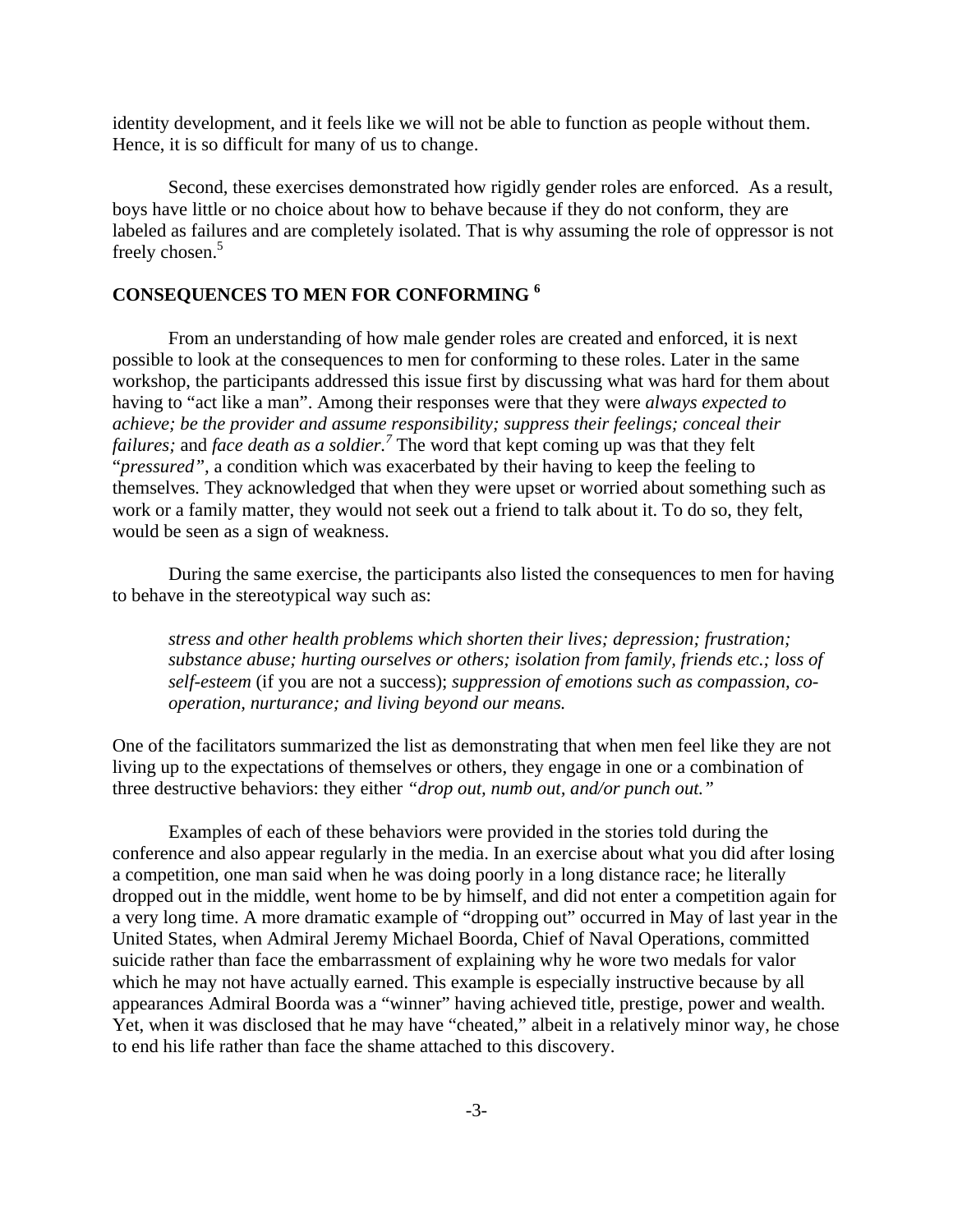identity development, and it feels like we will not be able to function as people without them. Hence, it is so difficult for many of us to change.

Second, these exercises demonstrated how rigidly gender roles are enforced. As a result, boys have little or no choice about how to behave because if they do not conform, they are labeled as failures and are completely isolated. That is why assuming the role of oppressor is not freely chosen.<sup>5</sup>

## **CONSEQUENCES TO MEN FOR CONFORMING 6**

From an understanding of how male gender roles are created and enforced, it is next possible to look at the consequences to men for conforming to these roles. Later in the same workshop, the participants addressed this issue first by discussing what was hard for them about having to "act like a man". Among their responses were that they were *always expected to achieve; be the provider and assume responsibility; suppress their feelings; conceal their failures;* and *face death as a soldier.<sup>7</sup>* The word that kept coming up was that they felt "*pressured",* a condition which was exacerbated by their having to keep the feeling to themselves*.* They acknowledged that when they were upset or worried about something such as work or a family matter, they would not seek out a friend to talk about it. To do so, they felt, would be seen as a sign of weakness.

During the same exercise, the participants also listed the consequences to men for having to behave in the stereotypical way such as:

*stress and other health problems which shorten their lives; depression; frustration; substance abuse; hurting ourselves or others; isolation from family, friends etc.; loss of self-esteem* (if you are not a success); *suppression of emotions such as compassion, cooperation, nurturance; and living beyond our means.*

One of the facilitators summarized the list as demonstrating that when men feel like they are not living up to the expectations of themselves or others, they engage in one or a combination of three destructive behaviors: they either *"drop out, numb out, and/or punch out."*

Examples of each of these behaviors were provided in the stories told during the conference and also appear regularly in the media. In an exercise about what you did after losing a competition, one man said when he was doing poorly in a long distance race; he literally dropped out in the middle, went home to be by himself, and did not enter a competition again for a very long time. A more dramatic example of "dropping out" occurred in May of last year in the United States, when Admiral Jeremy Michael Boorda, Chief of Naval Operations, committed suicide rather than face the embarrassment of explaining why he wore two medals for valor which he may not have actually earned. This example is especially instructive because by all appearances Admiral Boorda was a "winner" having achieved title, prestige, power and wealth. Yet, when it was disclosed that he may have "cheated," albeit in a relatively minor way, he chose to end his life rather than face the shame attached to this discovery.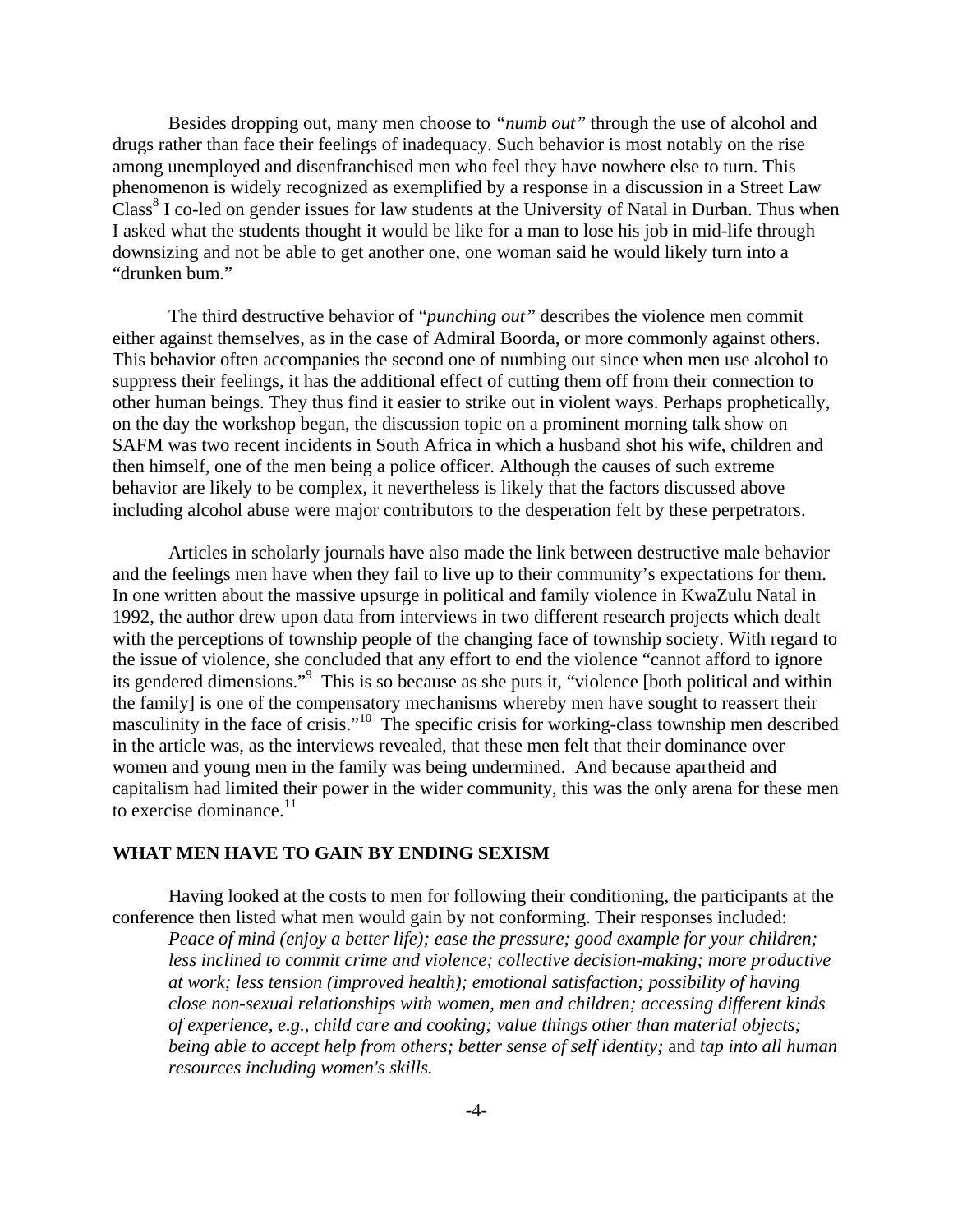Besides dropping out, many men choose to *"numb out"* through the use of alcohol and drugs rather than face their feelings of inadequacy. Such behavior is most notably on the rise among unemployed and disenfranchised men who feel they have nowhere else to turn. This phenomenon is widely recognized as exemplified by a response in a discussion in a Street Law Class<sup>8</sup> I co-led on gender issues for law students at the University of Natal in Durban. Thus when I asked what the students thought it would be like for a man to lose his job in mid-life through downsizing and not be able to get another one, one woman said he would likely turn into a "drunken bum."

The third destructive behavior of "*punching out"* describes the violence men commit either against themselves, as in the case of Admiral Boorda, or more commonly against others. This behavior often accompanies the second one of numbing out since when men use alcohol to suppress their feelings, it has the additional effect of cutting them off from their connection to other human beings. They thus find it easier to strike out in violent ways. Perhaps prophetically, on the day the workshop began, the discussion topic on a prominent morning talk show on SAFM was two recent incidents in South Africa in which a husband shot his wife, children and then himself, one of the men being a police officer. Although the causes of such extreme behavior are likely to be complex, it nevertheless is likely that the factors discussed above including alcohol abuse were major contributors to the desperation felt by these perpetrators.

Articles in scholarly journals have also made the link between destructive male behavior and the feelings men have when they fail to live up to their community's expectations for them. In one written about the massive upsurge in political and family violence in KwaZulu Natal in 1992, the author drew upon data from interviews in two different research projects which dealt with the perceptions of township people of the changing face of township society. With regard to the issue of violence, she concluded that any effort to end the violence "cannot afford to ignore its gendered dimensions."<sup>9</sup> This is so because as she puts it, "violence [both political and within the family] is one of the compensatory mechanisms whereby men have sought to reassert their masculinity in the face of crisis."10 The specific crisis for working-class township men described in the article was, as the interviews revealed, that these men felt that their dominance over women and young men in the family was being undermined. And because apartheid and capitalism had limited their power in the wider community, this was the only arena for these men to exercise dominance.<sup>11</sup>

### **WHAT MEN HAVE TO GAIN BY ENDING SEXISM**

Having looked at the costs to men for following their conditioning, the participants at the conference then listed what men would gain by not conforming. Their responses included:

*Peace of mind (enjoy a better life); ease the pressure; good example for your children; less inclined to commit crime and violence; collective decision-making; more productive at work; less tension (improved health); emotional satisfaction; possibility of having close non-sexual relationships with women, men and children; accessing different kinds of experience, e.g., child care and cooking; value things other than material objects; being able to accept help from others; better sense of self identity;* and *tap into all human resources including women's skills.*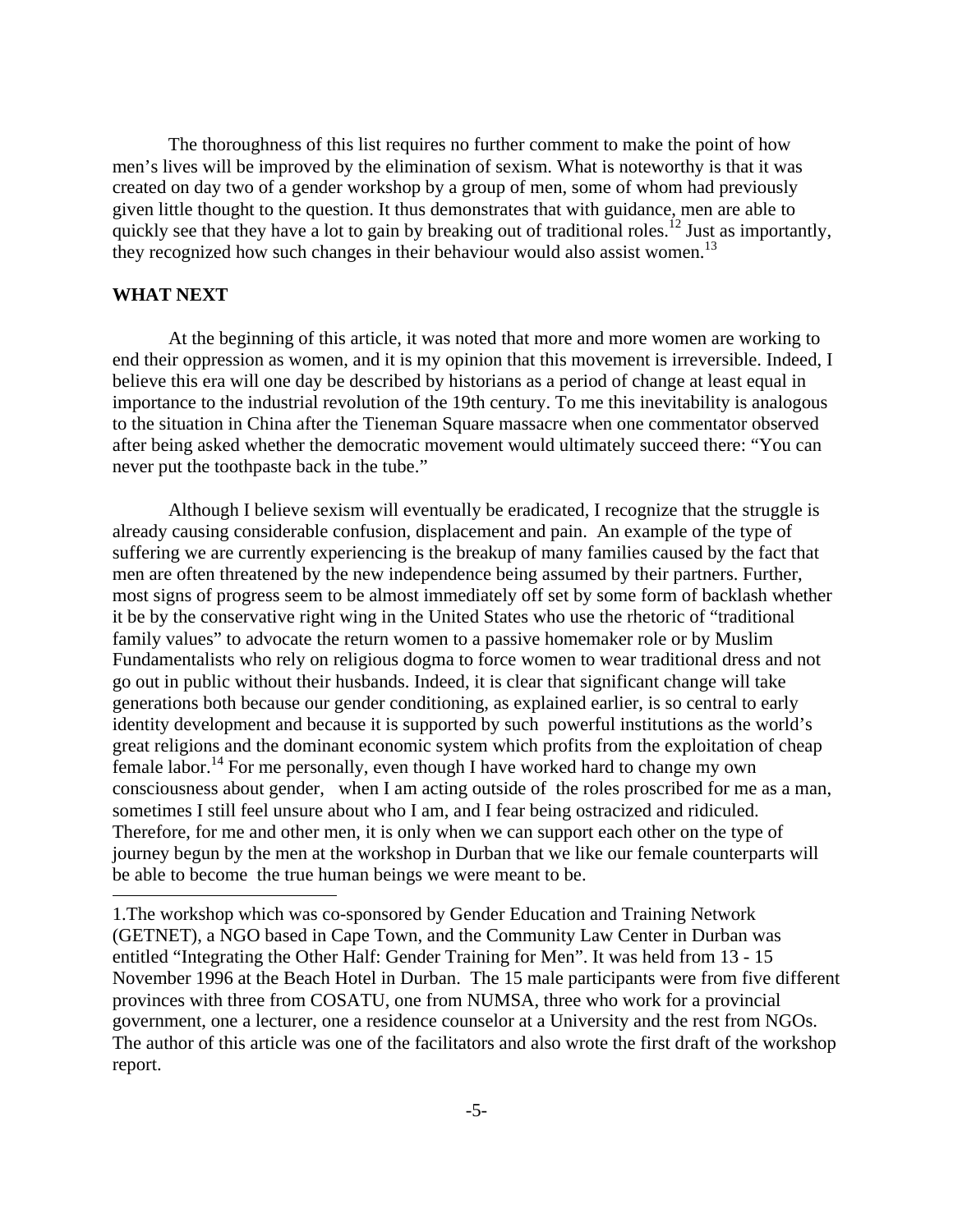The thoroughness of this list requires no further comment to make the point of how men's lives will be improved by the elimination of sexism. What is noteworthy is that it was created on day two of a gender workshop by a group of men, some of whom had previously given little thought to the question. It thus demonstrates that with guidance, men are able to quickly see that they have a lot to gain by breaking out of traditional roles.<sup>12</sup> Just as importantly, they recognized how such changes in their behaviour would also assist women.<sup>13</sup>

### **WHAT NEXT**

1

At the beginning of this article, it was noted that more and more women are working to end their oppression as women, and it is my opinion that this movement is irreversible. Indeed, I believe this era will one day be described by historians as a period of change at least equal in importance to the industrial revolution of the 19th century. To me this inevitability is analogous to the situation in China after the Tieneman Square massacre when one commentator observed after being asked whether the democratic movement would ultimately succeed there: "You can never put the toothpaste back in the tube."

Although I believe sexism will eventually be eradicated, I recognize that the struggle is already causing considerable confusion, displacement and pain. An example of the type of suffering we are currently experiencing is the breakup of many families caused by the fact that men are often threatened by the new independence being assumed by their partners. Further, most signs of progress seem to be almost immediately off set by some form of backlash whether it be by the conservative right wing in the United States who use the rhetoric of "traditional family values" to advocate the return women to a passive homemaker role or by Muslim Fundamentalists who rely on religious dogma to force women to wear traditional dress and not go out in public without their husbands. Indeed, it is clear that significant change will take generations both because our gender conditioning, as explained earlier, is so central to early identity development and because it is supported by such powerful institutions as the world's great religions and the dominant economic system which profits from the exploitation of cheap female labor.<sup>14</sup> For me personally, even though I have worked hard to change my own consciousness about gender, when I am acting outside of the roles proscribed for me as a man, sometimes I still feel unsure about who I am, and I fear being ostracized and ridiculed. Therefore, for me and other men, it is only when we can support each other on the type of journey begun by the men at the workshop in Durban that we like our female counterparts will be able to become the true human beings we were meant to be.

<sup>1.</sup>The workshop which was co-sponsored by Gender Education and Training Network (GETNET), a NGO based in Cape Town, and the Community Law Center in Durban was entitled "Integrating the Other Half: Gender Training for Men". It was held from 13 - 15 November 1996 at the Beach Hotel in Durban. The 15 male participants were from five different provinces with three from COSATU, one from NUMSA, three who work for a provincial government, one a lecturer, one a residence counselor at a University and the rest from NGOs. The author of this article was one of the facilitators and also wrote the first draft of the workshop report.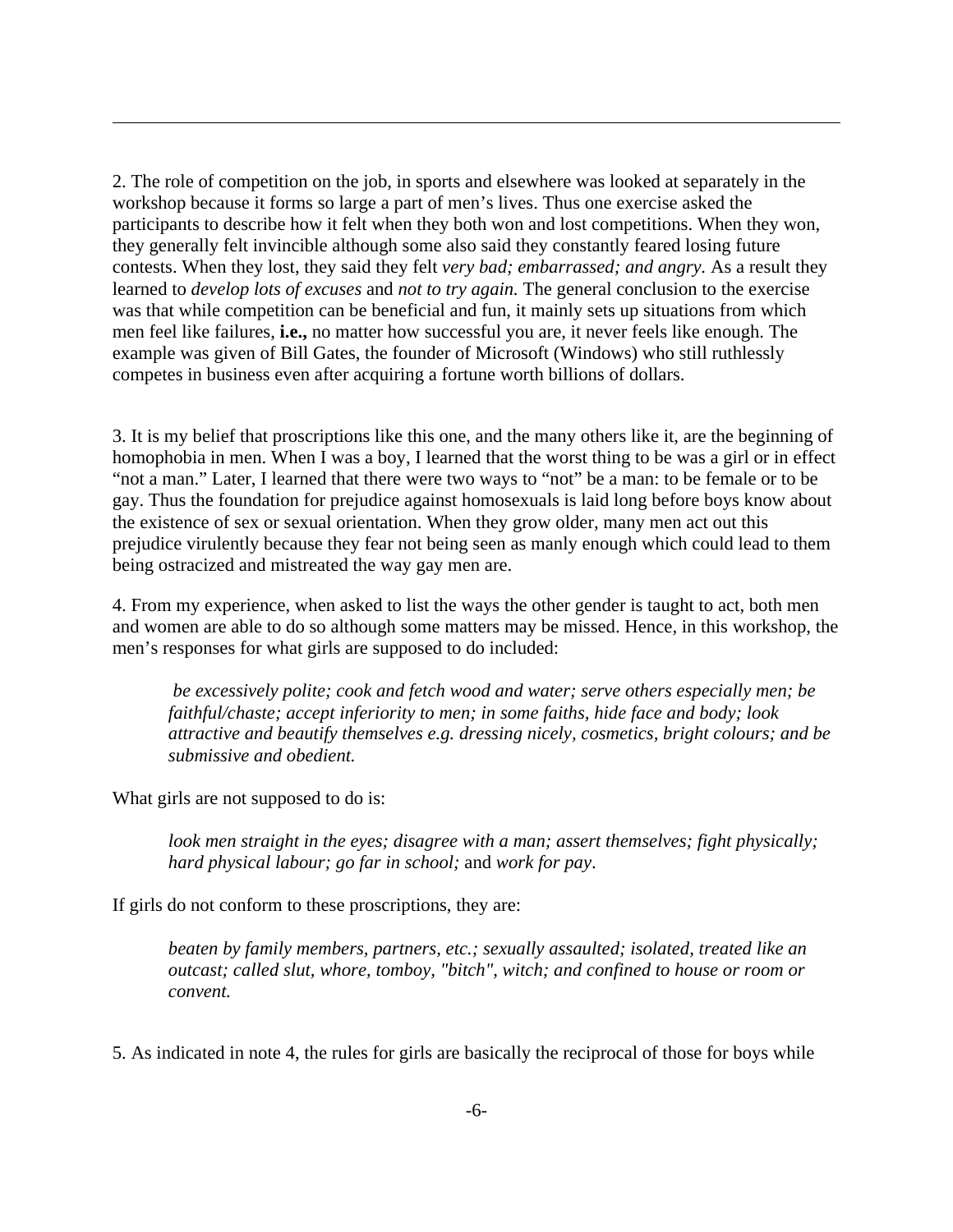2. The role of competition on the job, in sports and elsewhere was looked at separately in the workshop because it forms so large a part of men's lives. Thus one exercise asked the participants to describe how it felt when they both won and lost competitions. When they won, they generally felt invincible although some also said they constantly feared losing future contests. When they lost, they said they felt *very bad; embarrassed; and angry.* As a result they learned to *develop lots of excuses* and *not to try again.* The general conclusion to the exercise was that while competition can be beneficial and fun, it mainly sets up situations from which men feel like failures, **i.e.,** no matter how successful you are, it never feels like enough. The example was given of Bill Gates, the founder of Microsoft (Windows) who still ruthlessly competes in business even after acquiring a fortune worth billions of dollars.

3. It is my belief that proscriptions like this one, and the many others like it, are the beginning of homophobia in men. When I was a boy, I learned that the worst thing to be was a girl or in effect "not a man." Later, I learned that there were two ways to "not" be a man: to be female or to be gay. Thus the foundation for prejudice against homosexuals is laid long before boys know about the existence of sex or sexual orientation. When they grow older, many men act out this prejudice virulently because they fear not being seen as manly enough which could lead to them being ostracized and mistreated the way gay men are.

4. From my experience, when asked to list the ways the other gender is taught to act, both men and women are able to do so although some matters may be missed. Hence, in this workshop, the men's responses for what girls are supposed to do included:

 *be excessively polite; cook and fetch wood and water; serve others especially men; be faithful/chaste; accept inferiority to men; in some faiths, hide face and body; look attractive and beautify themselves e.g. dressing nicely, cosmetics, bright colours; and be submissive and obedient.* 

What girls are not supposed to do is:

-

*look men straight in the eyes; disagree with a man; assert themselves; fight physically; hard physical labour; go far in school;* and *work for pay*.

If girls do not conform to these proscriptions, they are:

*beaten by family members, partners, etc.; sexually assaulted; isolated, treated like an outcast; called slut, whore, tomboy, "bitch", witch; and confined to house or room or convent.*

5. As indicated in note 4, the rules for girls are basically the reciprocal of those for boys while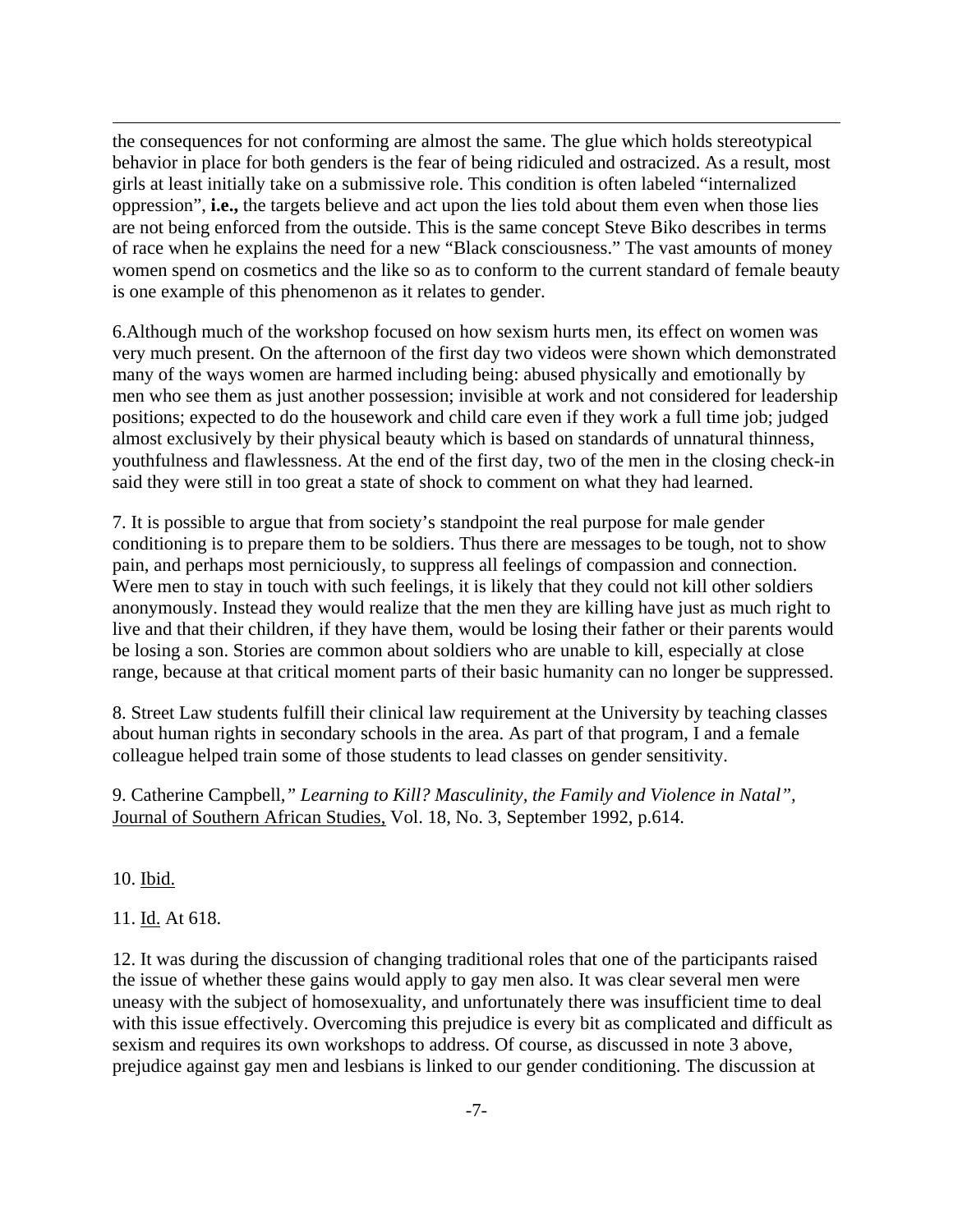the consequences for not conforming are almost the same. The glue which holds stereotypical behavior in place for both genders is the fear of being ridiculed and ostracized. As a result, most girls at least initially take on a submissive role. This condition is often labeled "internalized oppression", **i.e.,** the targets believe and act upon the lies told about them even when those lies are not being enforced from the outside. This is the same concept Steve Biko describes in terms of race when he explains the need for a new "Black consciousness." The vast amounts of money women spend on cosmetics and the like so as to conform to the current standard of female beauty is one example of this phenomenon as it relates to gender.

6.Although much of the workshop focused on how sexism hurts men, its effect on women was very much present. On the afternoon of the first day two videos were shown which demonstrated many of the ways women are harmed including being: abused physically and emotionally by men who see them as just another possession; invisible at work and not considered for leadership positions; expected to do the housework and child care even if they work a full time job; judged almost exclusively by their physical beauty which is based on standards of unnatural thinness, youthfulness and flawlessness. At the end of the first day, two of the men in the closing check-in said they were still in too great a state of shock to comment on what they had learned.

7. It is possible to argue that from society's standpoint the real purpose for male gender conditioning is to prepare them to be soldiers. Thus there are messages to be tough, not to show pain, and perhaps most perniciously, to suppress all feelings of compassion and connection. Were men to stay in touch with such feelings, it is likely that they could not kill other soldiers anonymously. Instead they would realize that the men they are killing have just as much right to live and that their children, if they have them, would be losing their father or their parents would be losing a son. Stories are common about soldiers who are unable to kill, especially at close range, because at that critical moment parts of their basic humanity can no longer be suppressed.

8. Street Law students fulfill their clinical law requirement at the University by teaching classes about human rights in secondary schools in the area. As part of that program, I and a female colleague helped train some of those students to lead classes on gender sensitivity.

9. Catherine Campbell,*" Learning to Kill? Masculinity, the Family and Violence in Natal",*  Journal of Southern African Studies, Vol. 18, No. 3, September 1992, p.614.

10. Ibid.

-

11. Id. At 618.

12. It was during the discussion of changing traditional roles that one of the participants raised the issue of whether these gains would apply to gay men also. It was clear several men were uneasy with the subject of homosexuality, and unfortunately there was insufficient time to deal with this issue effectively. Overcoming this prejudice is every bit as complicated and difficult as sexism and requires its own workshops to address. Of course, as discussed in note 3 above, prejudice against gay men and lesbians is linked to our gender conditioning. The discussion at